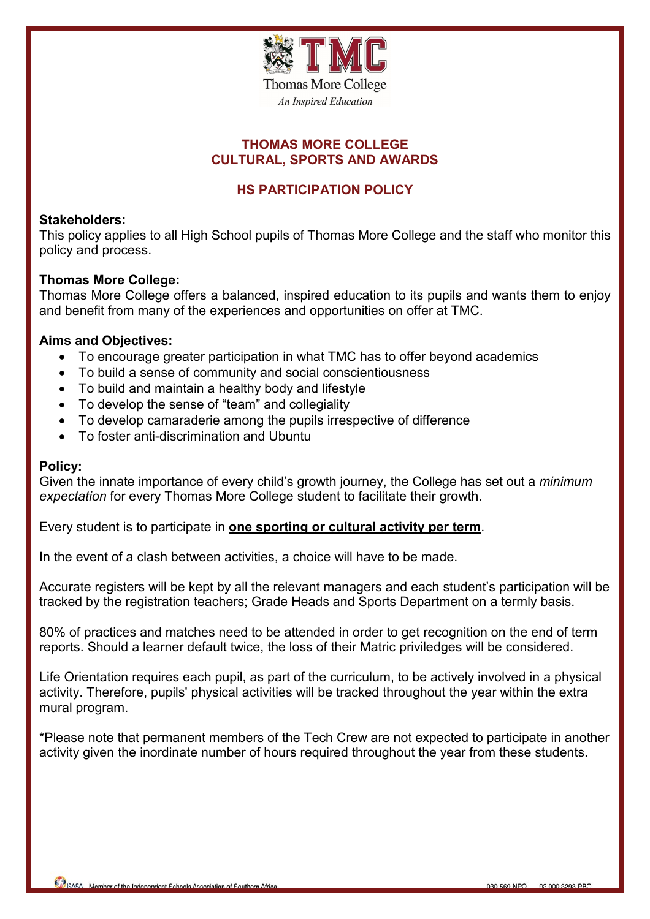

## **THOMAS MORE COLLEGE CULTURAL, SPORTS AND AWARDS**

# **HS PARTICIPATION POLICY**

### **Stakeholders:**

This policy applies to all High School pupils of Thomas More College and the staff who monitor this policy and process.

#### **Thomas More College:**

Thomas More College offers a balanced, inspired education to its pupils and wants them to enjoy and benefit from many of the experiences and opportunities on offer at TMC.

#### **Aims and Objectives:**

- To encourage greater participation in what TMC has to offer beyond academics
- To build a sense of community and social conscientiousness
- To build and maintain a healthy body and lifestyle
- To develop the sense of "team" and collegiality
- To develop camaraderie among the pupils irrespective of difference
- To foster anti-discrimination and Ubuntu

#### **Policy:**

Given the innate importance of every child's growth journey, the College has set out a *minimum expectation* for every Thomas More College student to facilitate their growth.

Every student is to participate in **one sporting or cultural activity per term**.

In the event of a clash between activities, a choice will have to be made.

Accurate registers will be kept by all the relevant managers and each student's participation will be tracked by the registration teachers; Grade Heads and Sports Department on a termly basis.

80% of practices and matches need to be attended in order to get recognition on the end of term reports. Should a learner default twice, the loss of their Matric priviledges will be considered.

Life Orientation requires each pupil, as part of the curriculum, to be actively involved in a physical activity. Therefore, pupils' physical activities will be tracked throughout the year within the extra mural program.

\*Please note that permanent members of the Tech Crew are not expected to participate in another activity given the inordinate number of hours required throughout the year from these students.